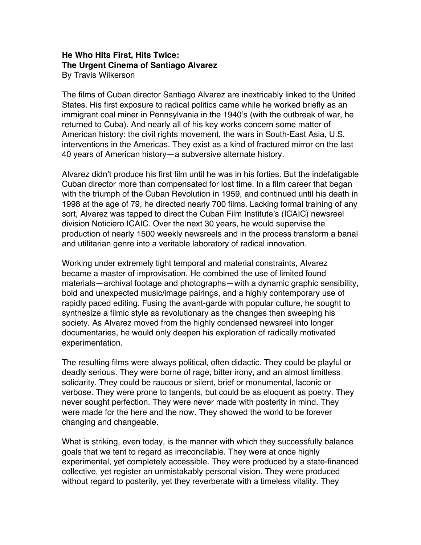## **He Who Hits First, Hits Twice: The Urgent Cinema of Santiago Alvarez** By Travis Wilkerson

The films of Cuban director Santiago Alvarez are inextricably linked to the United States. His first exposure to radical politics came while he worked briefly as an immigrant coal miner in Pennsylvania in the 1940's (with the outbreak of war, he returned to Cuba). And nearly all of his key works concern some matter of American history: the civil rights movement, the wars in South-East Asia, U.S. interventions in the Americas. They exist as a kind of fractured mirror on the last 40 years of American history—a subversive alternate history.

Alvarez didn't produce his first film until he was in his forties. But the indefatigable Cuban director more than compensated for lost time. In a film career that began with the triumph of the Cuban Revolution in 1959, and continued until his death in 1998 at the age of 79, he directed nearly 700 films. Lacking formal training of any sort, Alvarez was tapped to direct the Cuban Film Institute's (ICAIC) newsreel division Noticiero ICAIC. Over the next 30 years, he would supervise the production of nearly 1500 weekly newsreels and in the process transform a banal and utilitarian genre into a veritable laboratory of radical innovation.

Working under extremely tight temporal and material constraints, Alvarez became a master of improvisation. He combined the use of limited found materials—archival footage and photographs—with a dynamic graphic sensibility, bold and unexpected music/image pairings, and a highly contemporary use of rapidly paced editing. Fusing the avant-garde with popular culture, he sought to synthesize a filmic style as revolutionary as the changes then sweeping his society. As Alvarez moved from the highly condensed newsreel into longer documentaries, he would only deepen his exploration of radically motivated experimentation.

The resulting films were always political, often didactic. They could be playful or deadly serious. They were borne of rage, bitter irony, and an almost limitless solidarity. They could be raucous or silent, brief or monumental, laconic or verbose. They were prone to tangents, but could be as eloquent as poetry. They never sought perfection. They were never made with posterity in mind. They were made for the here and the now. They showed the world to be forever changing and changeable.

What is striking, even today, is the manner with which they successfully balance goals that we tent to regard as irreconcilable. They were at once highly experimental, yet completely accessible. They were produced by a state-financed collective, yet register an unmistakably personal vision. They were produced without regard to posterity, yet they reverberate with a timeless vitality. They